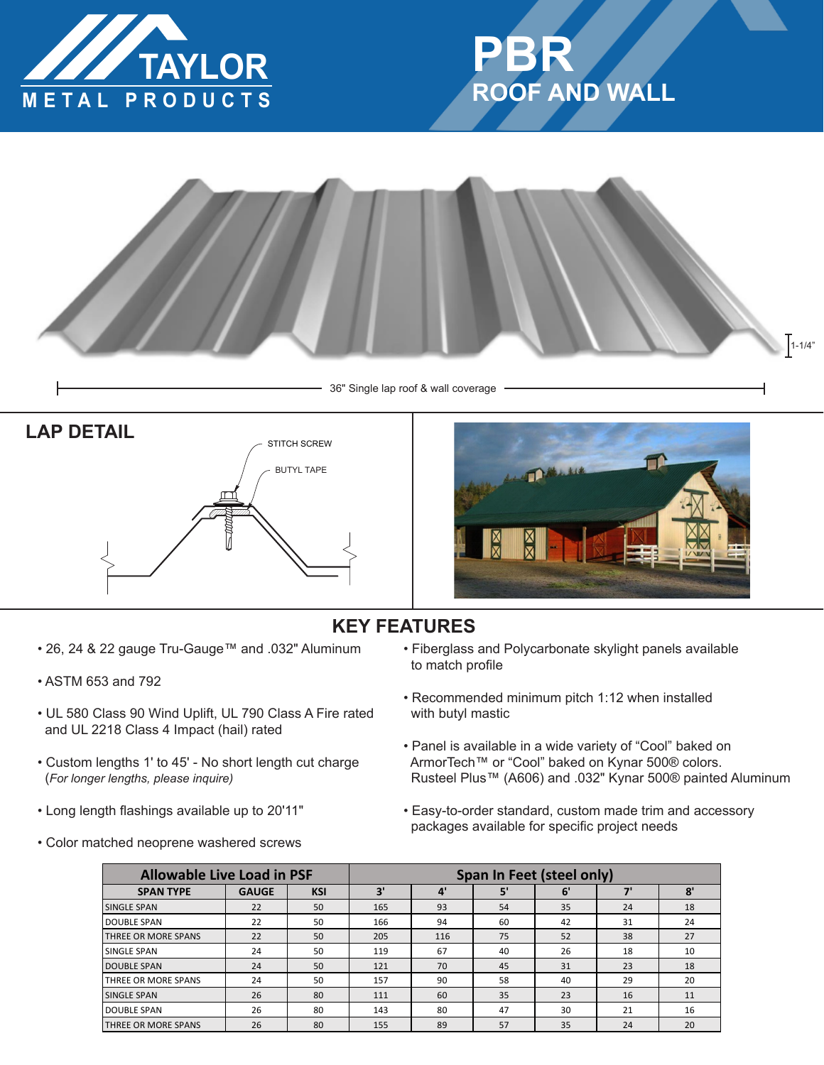





36" Single lap roof & wall coverage





## **KEY FEATURES**

- 26, 24 & 22 gauge Tru-Gauge™ and .032" Aluminum
- ASTM 653 and 792
- UL 580 Class 90 Wind Uplift, UL 790 Class A Fire rated and UL 2218 Class 4 Impact (hail) rated
- Custom lengths 1' to 45' No short length cut charge (*For longer lengths, please inquire)*
- Long length flashings available up to 20'11"
- Color matched neoprene washered screws
- Fiberglass and Polycarbonate skylight panels available to match profile
- Recommended minimum pitch 1:12 when installed with butyl mastic
- Panel is available in a wide variety of "Cool" baked on ArmorTech™ or "Cool" baked on Kynar 500® colors. Rusteel Plus™ (A606) and .032" Kynar 500® painted Aluminum
- Easy-to-order standard, custom made trim and accessory packages available for specific project needs

| <b>Allowable Live Load in PSF</b> |              |            | <b>Span In Feet (steel only)</b> |     |    |    |    |    |
|-----------------------------------|--------------|------------|----------------------------------|-----|----|----|----|----|
| <b>SPAN TYPE</b>                  | <b>GAUGE</b> | <b>KSI</b> | 3'                               | 4'  | 5' | 6' | יכ | 8' |
| SINGLE SPAN                       | 22           | 50         | 165                              | 93  | 54 | 35 | 24 | 18 |
| <b>DOUBLE SPAN</b>                | 22           | 50         | 166                              | 94  | 60 | 42 | 31 | 24 |
| THREE OR MORE SPANS               | 22           | 50         | 205                              | 116 | 75 | 52 | 38 | 27 |
| SINGLE SPAN                       | 24           | 50         | 119                              | 67  | 40 | 26 | 18 | 10 |
| <b>DOUBLE SPAN</b>                | 24           | 50         | 121                              | 70  | 45 | 31 | 23 | 18 |
| THREE OR MORE SPANS               | 24           | 50         | 157                              | 90  | 58 | 40 | 29 | 20 |
| SINGLE SPAN                       | 26           | 80         | 111                              | 60  | 35 | 23 | 16 | 11 |
| <b>DOUBLE SPAN</b>                | 26           | 80         | 143                              | 80  | 47 | 30 | 21 | 16 |
| THREE OR MORE SPANS               | 26           | 80         | 155                              | 89  | 57 | 35 | 24 | 20 |